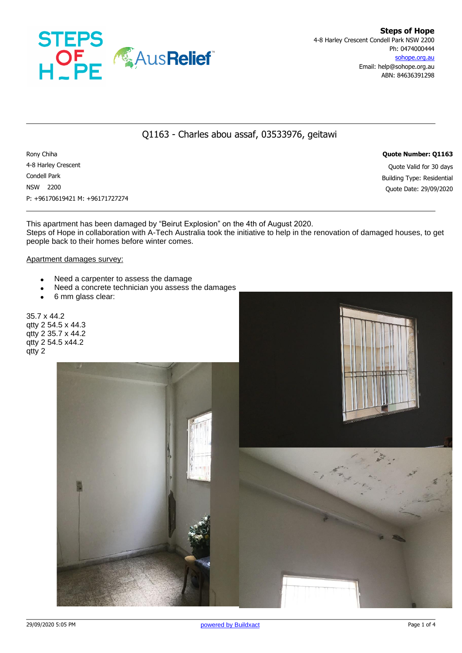

# Q1163 - Charles abou assaf, 03533976, geitawi

Rony Chiha **Quote Number: Q1163** 4-8 Harley Crescent Quote Valid for 30 days Condell Park Building Type: Residential NSW 2200 Quote Date: 29/09/2020 P: +96170619421 M: +96171727274

This apartment has been damaged by "Beirut Explosion" on the 4th of August 2020. Steps of Hope in collaboration with A-Tech Australia took the initiative to help in the renovation of damaged houses, to get people back to their homes before winter comes.

### Apartment damages survey:

- Need a carpenter to assess the damage
- Need a concrete technician you assess the damages
- 6 mm glass clear:

qtty 2

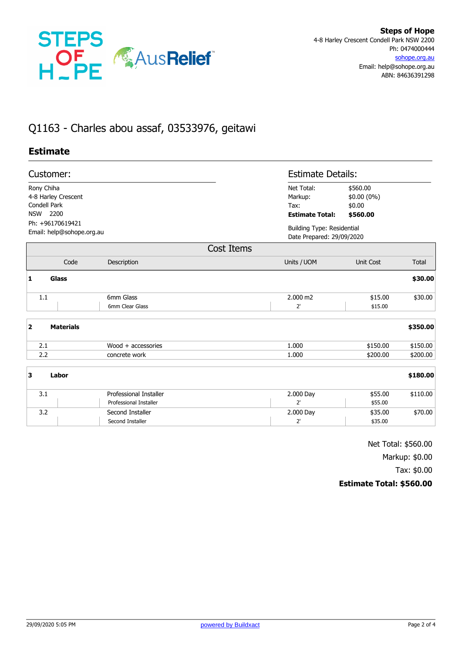

# Q1163 - Charles abou assaf, 03533976, geitawi

# **Estimate**

| Customer:<br>Rony Chiha<br>4-8 Harley Crescent<br>Condell Park<br>NSW 2200<br>Ph: +96170619421 |                        |                                                            | <b>Estimate Details:</b>                                                           |              |  |
|------------------------------------------------------------------------------------------------|------------------------|------------------------------------------------------------|------------------------------------------------------------------------------------|--------------|--|
|                                                                                                |                        | Net Total:<br>Markup:<br>$Tax$ :<br><b>Estimate Total:</b> | \$560.00<br>\$0.00 (0%)<br>\$0.00<br>\$560.00<br><b>Building Type: Residential</b> |              |  |
| Email: help@sohope.org.au                                                                      |                        |                                                            | Date Prepared: 29/09/2020                                                          |              |  |
|                                                                                                |                        | Cost Items                                                 |                                                                                    |              |  |
| Code                                                                                           | Description            | Units / UOM                                                | Unit Cost                                                                          | <b>Total</b> |  |
| 1<br>Glass                                                                                     |                        |                                                            |                                                                                    | \$30.00      |  |
| 1.1                                                                                            | 6mm Glass              | 2.000 m2                                                   | \$15.00                                                                            | \$30.00      |  |
|                                                                                                | 6mm Clear Glass        | 2'                                                         | \$15.00                                                                            |              |  |
| $\overline{\mathbf{2}}$<br><b>Materials</b>                                                    |                        |                                                            |                                                                                    | \$350.00     |  |
| 2.1                                                                                            | Wood $+$ accessories   | 1.000                                                      | \$150.00                                                                           | \$150.00     |  |
| 2.2                                                                                            | concrete work          | 1.000                                                      | \$200.00                                                                           | \$200.00     |  |
| 3<br>Labor                                                                                     |                        |                                                            |                                                                                    | \$180.00     |  |
| 3.1                                                                                            | Professional Installer | 2.000 Day                                                  | \$55.00                                                                            | \$110.00     |  |
|                                                                                                | Professional Installer | $2^{\prime}$                                               | \$55.00                                                                            |              |  |
| 3.2                                                                                            | Second Installer       | 2.000 Day                                                  | \$35.00                                                                            | \$70.00      |  |
|                                                                                                | Second Installer       | 2'                                                         | \$35.00                                                                            |              |  |

Net Total: \$560.00

Markup: \$0.00

Tax: \$0.00

## **Estimate Total: \$560.00**